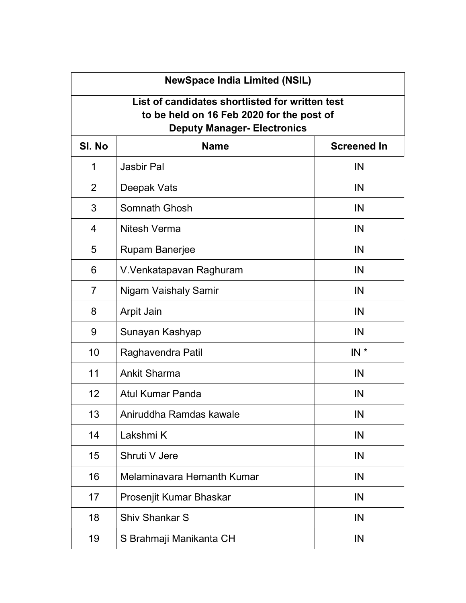| List of candidates shortlisted for written test<br>to be held on 16 Feb 2020 for the post of<br><b>Deputy Manager- Electronics</b> |                            |                    |
|------------------------------------------------------------------------------------------------------------------------------------|----------------------------|--------------------|
| SI. No                                                                                                                             | <b>Name</b>                | <b>Screened In</b> |
| $\mathbf 1$                                                                                                                        | <b>Jasbir Pal</b>          | IN                 |
| 2                                                                                                                                  | Deepak Vats                | IN                 |
| 3                                                                                                                                  | Somnath Ghosh              | IN                 |
| 4                                                                                                                                  | <b>Nitesh Verma</b>        | IN                 |
| 5                                                                                                                                  | <b>Rupam Banerjee</b>      | IN                 |
| 6                                                                                                                                  | V. Venkatapavan Raghuram   | IN                 |
| 7                                                                                                                                  | Nigam Vaishaly Samir       | IN                 |
| 8                                                                                                                                  | Arpit Jain                 | IN                 |
| 9                                                                                                                                  | Sunayan Kashyap            | IN                 |
| 10                                                                                                                                 | Raghavendra Patil          | $IN^*$             |
| 11                                                                                                                                 | <b>Ankit Sharma</b>        | IN                 |
| 12                                                                                                                                 | <b>Atul Kumar Panda</b>    | IN                 |
| 13                                                                                                                                 | Aniruddha Ramdas kawale    | IN                 |
| 14                                                                                                                                 | Lakshmi K                  | IN                 |
| 15                                                                                                                                 | Shruti V Jere              | IN                 |
| 16                                                                                                                                 | Melaminavara Hemanth Kumar | IN                 |
| 17                                                                                                                                 | Prosenjit Kumar Bhaskar    | IN                 |
| 18                                                                                                                                 | <b>Shiv Shankar S</b>      | IN                 |
| 19                                                                                                                                 | S Brahmaji Manikanta CH    | IN                 |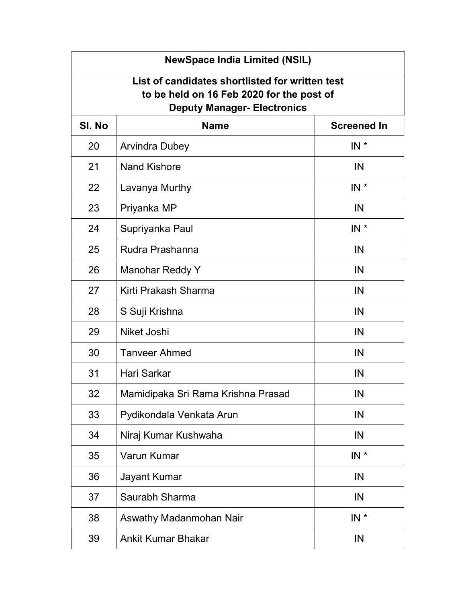| <b>NewSpace India Limited (NSIL)</b>                                                                                               |                                    |                                     |
|------------------------------------------------------------------------------------------------------------------------------------|------------------------------------|-------------------------------------|
| List of candidates shortlisted for written test<br>to be held on 16 Feb 2020 for the post of<br><b>Deputy Manager- Electronics</b> |                                    |                                     |
| SI. No                                                                                                                             | <b>Name</b>                        | <b>Screened In</b>                  |
| 20                                                                                                                                 | <b>Arvindra Dubey</b>              | $IN^*$                              |
| 21                                                                                                                                 | <b>Nand Kishore</b>                | IN                                  |
| 22                                                                                                                                 | Lavanya Murthy                     | $IN^*$                              |
| 23                                                                                                                                 | Priyanka MP                        | IN                                  |
| 24                                                                                                                                 | Supriyanka Paul                    | $IN^*$                              |
| 25                                                                                                                                 | Rudra Prashanna                    | IN                                  |
| 26                                                                                                                                 | <b>Manohar Reddy Y</b>             | IN                                  |
| 27                                                                                                                                 | Kirti Prakash Sharma               | IN                                  |
| 28                                                                                                                                 | S Suji Krishna                     | IN                                  |
| 29                                                                                                                                 | Niket Joshi                        | IN                                  |
| 30                                                                                                                                 | <b>Tanveer Ahmed</b>               | IN                                  |
| 31                                                                                                                                 | Hari Sarkar                        | IN                                  |
| 32                                                                                                                                 | Mamidipaka Sri Rama Krishna Prasad | IN                                  |
| 33                                                                                                                                 | Pydikondala Venkata Arun           | IN                                  |
| 34                                                                                                                                 | Niraj Kumar Kushwaha               | IN                                  |
| 35                                                                                                                                 | Varun Kumar                        | $IN^*$                              |
| 36                                                                                                                                 | <b>Jayant Kumar</b>                | IN                                  |
| 37                                                                                                                                 | Saurabh Sharma                     | IN                                  |
| 38                                                                                                                                 | Aswathy Madanmohan Nair            | $\ensuremath{\mathsf{IN}}\xspace$ * |
| 39                                                                                                                                 | <b>Ankit Kumar Bhakar</b>          | IN                                  |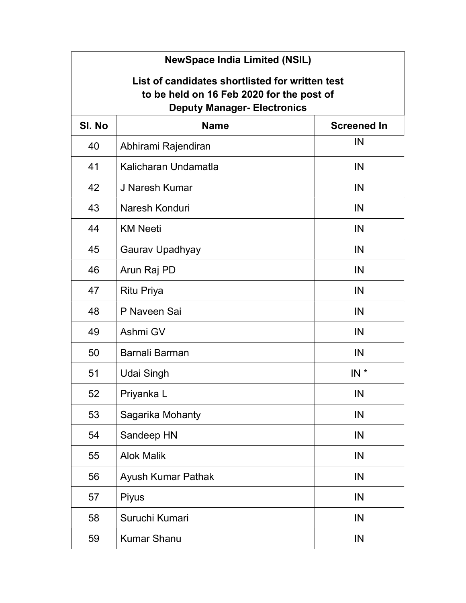| <b>NewSpace India Limited (NSIL)</b>                                                                                               |                       |                    |  |
|------------------------------------------------------------------------------------------------------------------------------------|-----------------------|--------------------|--|
| List of candidates shortlisted for written test<br>to be held on 16 Feb 2020 for the post of<br><b>Deputy Manager- Electronics</b> |                       |                    |  |
| SI. No                                                                                                                             | <b>Name</b>           | <b>Screened In</b> |  |
| 40                                                                                                                                 | Abhirami Rajendiran   | IN                 |  |
| 41                                                                                                                                 | Kalicharan Undamatla  | IN                 |  |
| 42                                                                                                                                 | J Naresh Kumar        | IN                 |  |
| 43                                                                                                                                 | Naresh Konduri        | IN                 |  |
| 44                                                                                                                                 | <b>KM Neeti</b>       | IN                 |  |
| 45                                                                                                                                 | Gaurav Upadhyay       | IN                 |  |
| 46                                                                                                                                 | Arun Raj PD           | IN                 |  |
| 47                                                                                                                                 | <b>Ritu Priya</b>     | IN                 |  |
| 48                                                                                                                                 | P Naveen Sai          | IN                 |  |
| 49                                                                                                                                 | Ashmi GV              | IN                 |  |
| 50                                                                                                                                 | <b>Barnali Barman</b> | IN                 |  |
| 51                                                                                                                                 | <b>Udai Singh</b>     | $IN *$             |  |
| 52                                                                                                                                 | Priyanka L            | IN                 |  |
| 53                                                                                                                                 | Sagarika Mohanty      | IN                 |  |
| 54                                                                                                                                 | Sandeep HN            | IN                 |  |
| 55                                                                                                                                 | <b>Alok Malik</b>     | IN                 |  |
| 56                                                                                                                                 | Ayush Kumar Pathak    | IN                 |  |
| 57                                                                                                                                 | <b>Piyus</b>          | IN                 |  |
| 58                                                                                                                                 | Suruchi Kumari        | IN                 |  |
| 59                                                                                                                                 | <b>Kumar Shanu</b>    | IN                 |  |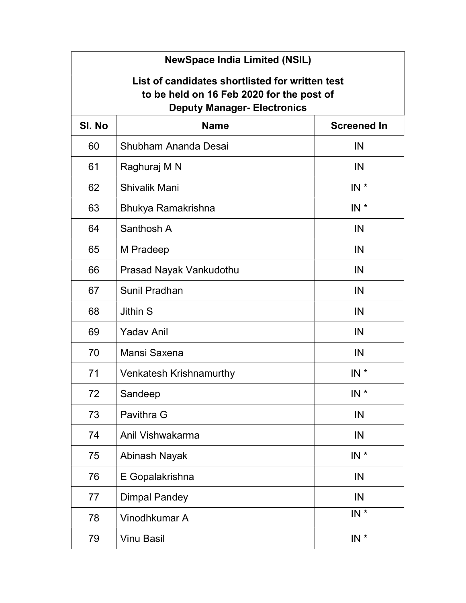| <b>NewSpace India Limited (NSIL)</b>                                                                                               |                                |                    |
|------------------------------------------------------------------------------------------------------------------------------------|--------------------------------|--------------------|
| List of candidates shortlisted for written test<br>to be held on 16 Feb 2020 for the post of<br><b>Deputy Manager- Electronics</b> |                                |                    |
| SI. No                                                                                                                             | <b>Name</b>                    | <b>Screened In</b> |
| 60                                                                                                                                 | Shubham Ananda Desai           | IN                 |
| 61                                                                                                                                 | Raghuraj M N                   | IN                 |
| 62                                                                                                                                 | Shivalik Mani                  | $IN^*$             |
| 63                                                                                                                                 | Bhukya Ramakrishna             | $IN^*$             |
| 64                                                                                                                                 | Santhosh A                     | IN                 |
| 65                                                                                                                                 | M Pradeep                      | IN                 |
| 66                                                                                                                                 | Prasad Nayak Vankudothu        | IN                 |
| 67                                                                                                                                 | <b>Sunil Pradhan</b>           | IN                 |
| 68                                                                                                                                 | Jithin S                       | IN                 |
| 69                                                                                                                                 | <b>Yadav Anil</b>              | IN                 |
| 70                                                                                                                                 | Mansi Saxena                   | IN                 |
| 71                                                                                                                                 | <b>Venkatesh Krishnamurthy</b> | $IN^*$             |
| 72                                                                                                                                 | Sandeep                        | $IN^*$             |
| 73                                                                                                                                 | Pavithra G                     | IN                 |
| 74                                                                                                                                 | Anil Vishwakarma               | IN                 |
| 75                                                                                                                                 | Abinash Nayak                  | $IN^*$             |
| 76                                                                                                                                 | E Gopalakrishna                | IN                 |
| 77                                                                                                                                 | <b>Dimpal Pandey</b>           | IN                 |
| 78                                                                                                                                 | Vinodhkumar A                  | $IN^*$             |
| 79                                                                                                                                 | <b>Vinu Basil</b>              | $IN^*$             |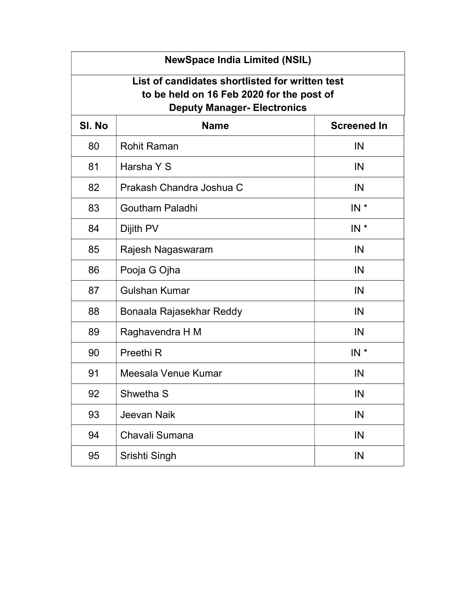| <b>NewSpace India Limited (NSIL)</b>                                                                                               |                          |                    |  |
|------------------------------------------------------------------------------------------------------------------------------------|--------------------------|--------------------|--|
| List of candidates shortlisted for written test<br>to be held on 16 Feb 2020 for the post of<br><b>Deputy Manager- Electronics</b> |                          |                    |  |
| SI. No                                                                                                                             | <b>Name</b>              | <b>Screened In</b> |  |
| 80                                                                                                                                 | <b>Rohit Raman</b>       | IN                 |  |
| 81                                                                                                                                 | Harsha Y S               | IN                 |  |
| 82                                                                                                                                 | Prakash Chandra Joshua C | IN                 |  |
| 83                                                                                                                                 | <b>Goutham Paladhi</b>   | $IN^*$             |  |
| 84                                                                                                                                 | Dijith PV                | $IN^*$             |  |
| 85                                                                                                                                 | Rajesh Nagaswaram        | IN                 |  |
| 86                                                                                                                                 | Pooja G Ojha             | IN                 |  |
| 87                                                                                                                                 | <b>Gulshan Kumar</b>     | IN                 |  |
| 88                                                                                                                                 | Bonaala Rajasekhar Reddy | IN                 |  |
| 89                                                                                                                                 | Raghavendra H M          | IN                 |  |
| 90                                                                                                                                 | Preethi R                | $IN *$             |  |
| 91                                                                                                                                 | Meesala Venue Kumar      | IN                 |  |
| 92                                                                                                                                 | Shwetha S                | IN                 |  |
| 93                                                                                                                                 | Jeevan Naik              | IN                 |  |
| 94                                                                                                                                 | Chavali Sumana           | IN                 |  |
| 95                                                                                                                                 | Srishti Singh            | IN                 |  |